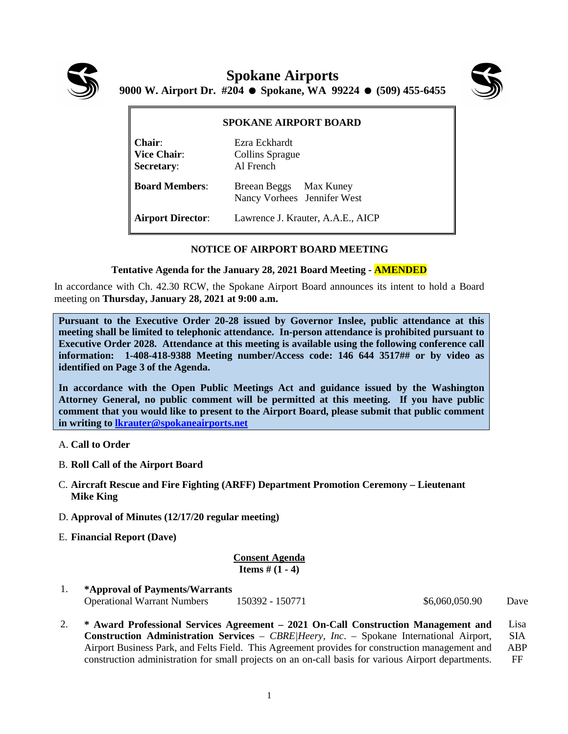

**Spokane Airports 9000 W. Airport Dr. #204 Spokane, WA 99224 (509) 455-6455**



## **SPOKANE AIRPORT BOARD Chair**: Ezra Eckhardt **Vice Chair:** Collins Sprague **Secretary**: Al French **Board Members**: Breean Beggs Max Kuney Nancy Vorhees Jennifer West **Airport Director**: Lawrence J. Krauter, A.A.E., AICP

## **NOTICE OF AIRPORT BOARD MEETING**

## **Tentative Agenda for the January 28, 2021 Board Meeting - AMENDED**

In accordance with Ch. 42.30 RCW, the Spokane Airport Board announces its intent to hold a Board meeting on **Thursday, January 28, 2021 at 9:00 a.m.** 

**Pursuant to the Executive Order 20-28 issued by Governor Inslee, public attendance at this meeting shall be limited to telephonic attendance. In-person attendance is prohibited pursuant to Executive Order 2028. Attendance at this meeting is available using the following conference call information: 1-408-418-9388 Meeting number/Access code: 146 644 3517## or by video as identified on Page 3 of the Agenda.**

**In accordance with the Open Public Meetings Act and guidance issued by the Washington Attorney General, no public comment will be permitted at this meeting. If you have public comment that you would like to present to the Airport Board, please submit that public comment in writing to [lkrauter@spokaneairports.net](mailto:lkrauter@spokaneairports.net)**

- A. **Call to Order**
- B. **Roll Call of the Airport Board**
- C. **Aircraft Rescue and Fire Fighting (ARFF) Department Promotion Ceremony – Lieutenant Mike King**
- D. **Approval of Minutes (12/17/20 regular meeting)**
- E. **Financial Report (Dave)**

**Consent Agenda Items # (1 - 4)**

1. **\*Approval of Payments/Warrants** Operational Warrant Numbers 150392 - 150771 \$6,060,050.90 Dave

2. **\* Award Professional Services Agreement – 2021 On-Call Construction Management and Construction Administration Services** – *CBRE|Heery, Inc*. – Spokane International Airport, Airport Business Park, and Felts Field. This Agreement provides for construction management and construction administration for small projects on an on-call basis for various Airport departments. Lisa SIA ABP FF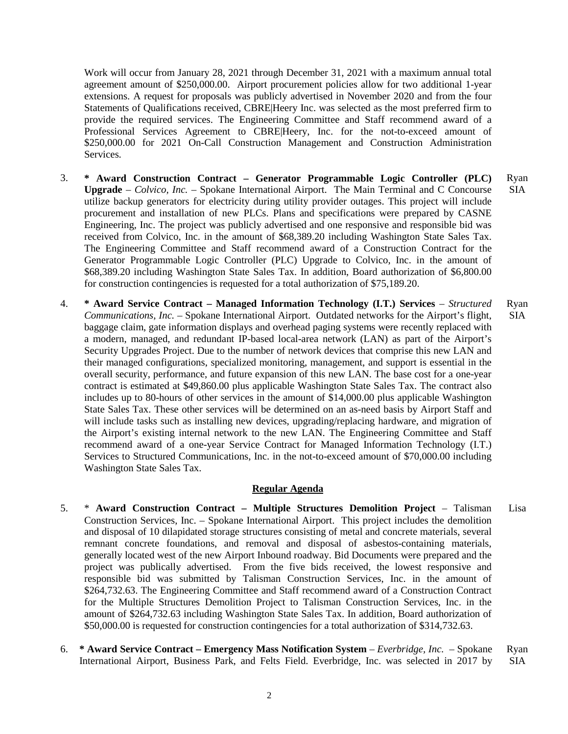Work will occur from January 28, 2021 through December 31, 2021 with a maximum annual total agreement amount of \$250,000.00. Airport procurement policies allow for two additional 1-year extensions. A request for proposals was publicly advertised in November 2020 and from the four Statements of Qualifications received, CBRE|Heery Inc. was selected as the most preferred firm to provide the required services. The Engineering Committee and Staff recommend award of a Professional Services Agreement to CBRE|Heery, Inc. for the not-to-exceed amount of \$250,000.00 for 2021 On-Call Construction Management and Construction Administration Services.

- 3. **\* Award Construction Contract – Generator Programmable Logic Controller (PLC) Upgrade** – *Colvico, Inc.* – Spokane International Airport. The Main Terminal and C Concourse utilize backup generators for electricity during utility provider outages. This project will include procurement and installation of new PLCs. Plans and specifications were prepared by CASNE Engineering, Inc. The project was publicly advertised and one responsive and responsible bid was received from Colvico, Inc. in the amount of \$68,389.20 including Washington State Sales Tax. The Engineering Committee and Staff recommend award of a Construction Contract for the Generator Programmable Logic Controller (PLC) Upgrade to Colvico, Inc. in the amount of \$68,389.20 including Washington State Sales Tax. In addition, Board authorization of \$6,800.00 for construction contingencies is requested for a total authorization of \$75,189.20. Ryan SIA
- 4. **\* Award Service Contract – Managed Information Technology (I.T.) Services** *Structured Communications, Inc.* – Spokane International Airport. Outdated networks for the Airport's flight, baggage claim, gate information displays and overhead paging systems were recently replaced with a modern, managed, and redundant IP-based local-area network (LAN) as part of the Airport's Security Upgrades Project. Due to the number of network devices that comprise this new LAN and their managed configurations, specialized monitoring, management, and support is essential in the overall security, performance, and future expansion of this new LAN. The base cost for a one-year contract is estimated at \$49,860.00 plus applicable Washington State Sales Tax. The contract also includes up to 80-hours of other services in the amount of \$14,000.00 plus applicable Washington State Sales Tax. These other services will be determined on an as-need basis by Airport Staff and will include tasks such as installing new devices, upgrading/replacing hardware, and migration of the Airport's existing internal network to the new LAN. The Engineering Committee and Staff recommend award of a one-year Service Contract for Managed Information Technology (I.T.) Services to Structured Communications, Inc. in the not-to-exceed amount of \$70,000.00 including Washington State Sales Tax. Ryan SIA

## **Regular Agenda**

- 5. \* **Award Construction Contract – Multiple Structures Demolition Project** Talisman Construction Services, Inc. – Spokane International Airport. This project includes the demolition and disposal of 10 dilapidated storage structures consisting of metal and concrete materials, several remnant concrete foundations, and removal and disposal of asbestos-containing materials, generally located west of the new Airport Inbound roadway. Bid Documents were prepared and the project was publically advertised. From the five bids received, the lowest responsive and responsible bid was submitted by Talisman Construction Services, Inc. in the amount of \$264,732.63. The Engineering Committee and Staff recommend award of a Construction Contract for the Multiple Structures Demolition Project to Talisman Construction Services, Inc. in the amount of \$264,732.63 including Washington State Sales Tax. In addition, Board authorization of \$50,000.00 is requested for construction contingencies for a total authorization of \$314,732.63. Lisa
- 6. **\* Award Service Contract – Emergency Mass Notification System** *Everbridge, Inc.* Spokane International Airport, Business Park, and Felts Field. Everbridge, Inc. was selected in 2017 by Ryan SIA